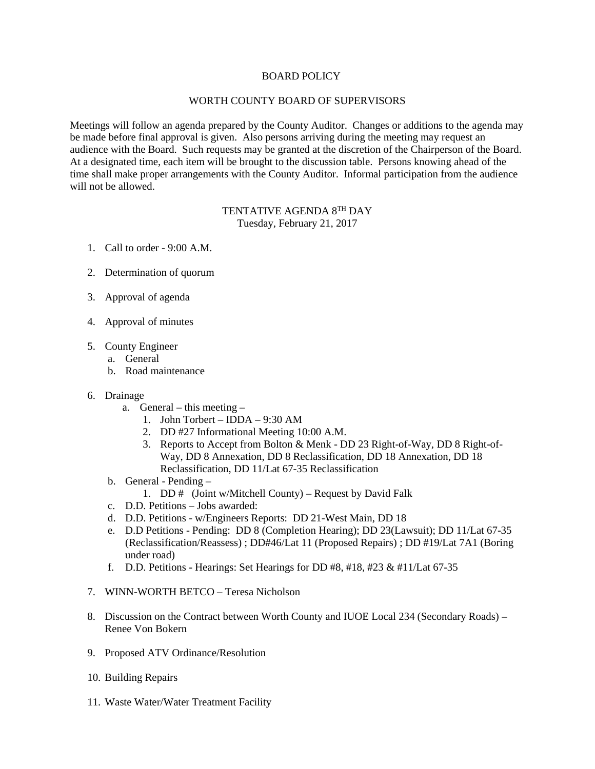## BOARD POLICY

## WORTH COUNTY BOARD OF SUPERVISORS

Meetings will follow an agenda prepared by the County Auditor. Changes or additions to the agenda may be made before final approval is given. Also persons arriving during the meeting may request an audience with the Board. Such requests may be granted at the discretion of the Chairperson of the Board. At a designated time, each item will be brought to the discussion table. Persons knowing ahead of the time shall make proper arrangements with the County Auditor. Informal participation from the audience will not be allowed.

## TENTATIVE AGENDA 8TH DAY Tuesday, February 21, 2017

- 1. Call to order 9:00 A.M.
- 2. Determination of quorum
- 3. Approval of agenda
- 4. Approval of minutes
- 5. County Engineer
	- a. General
	- b. Road maintenance
- 6. Drainage
	- a. General this meeting
		- 1. John Torbert IDDA 9:30 AM
		- 2. DD #27 Informational Meeting 10:00 A.M.
		- 3. Reports to Accept from Bolton & Menk DD 23 Right-of-Way, DD 8 Right-of-Way, DD 8 Annexation, DD 8 Reclassification, DD 18 Annexation, DD 18 Reclassification, DD 11/Lat 67-35 Reclassification
	- b. General Pending
		- 1. DD # (Joint w/Mitchell County) Request by David Falk
	- c. D.D. Petitions Jobs awarded:
	- d. D.D. Petitions w/Engineers Reports: DD 21-West Main, DD 18
	- e. D.D Petitions Pending: DD 8 (Completion Hearing); DD 23(Lawsuit); DD 11/Lat 67-35 (Reclassification/Reassess) ; DD#46/Lat 11 (Proposed Repairs) ; DD #19/Lat 7A1 (Boring under road)
	- f. D.D. Petitions Hearings: Set Hearings for DD #8, #18, #23 & #11/Lat  $67-35$
- 7. WINN-WORTH BETCO Teresa Nicholson
- 8. Discussion on the Contract between Worth County and IUOE Local 234 (Secondary Roads) Renee Von Bokern
- 9. Proposed ATV Ordinance/Resolution
- 10. Building Repairs
- 11. Waste Water/Water Treatment Facility